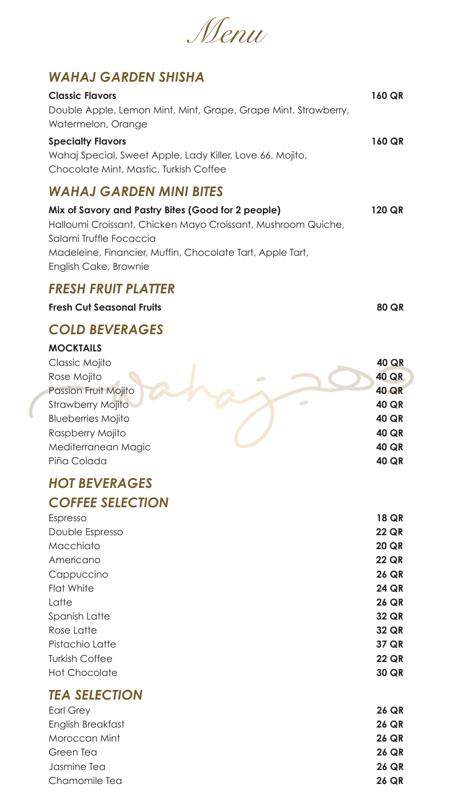# *Menu*

## *WAHAJ GARDEN SHISHA*

#### **Classic Flavors 160 QR**

Double Apple, Lemon Mint, Mint, Grape, Grape Mint, Strawberry, Watermelon, Orange

#### **Specialty Flavors 160 QR**

Wahaj Special, Sweet Apple, Lady Killer, Love 66, Mojito, Chocolate Mint, Mastic, Turkish Coffee

## *WAHAJ GARDEN MINI BITES*

| Mix of Savory and Pastry Bites (Good for 2 people)<br>Halloumi Croissant, Chicken Mayo Croissant, Mushroom Quiche,<br>Salami Truffle Focaccia<br>Madeleine, Financier, Muffin, Chocolate Tart, Apple Tart,<br>English Cake, Brownie | <b>120 QR</b>                |
|-------------------------------------------------------------------------------------------------------------------------------------------------------------------------------------------------------------------------------------|------------------------------|
| <b>FRESH FRUIT PLATTER</b>                                                                                                                                                                                                          |                              |
| <b>Fresh Cut Seasonal Fruits</b>                                                                                                                                                                                                    | <b>80 QR</b>                 |
| <b>COLD BEVERAGES</b>                                                                                                                                                                                                               |                              |
| <b>MOCKTAILS</b>                                                                                                                                                                                                                    |                              |
| Classic Mojito                                                                                                                                                                                                                      | <b>40 QR</b>                 |
| Rose Mojito                                                                                                                                                                                                                         | <b>40 QR</b>                 |
| <b>Passion Fruit Mojito</b>                                                                                                                                                                                                         | <b>40 QR</b>                 |
| <b>Strawberry Mojito</b><br><b>Blueberries Mojito</b>                                                                                                                                                                               | <b>40 QR</b><br><b>40 QR</b> |
| Raspberry Mojito                                                                                                                                                                                                                    | <b>40 QR</b>                 |
| Mediterranean Magic                                                                                                                                                                                                                 | <b>40 QR</b>                 |
| Piña Colada                                                                                                                                                                                                                         | <b>40 QR</b>                 |
| <b>HOT BEVERAGES</b>                                                                                                                                                                                                                |                              |
| <b>COFFEE SELECTION</b>                                                                                                                                                                                                             |                              |
| Espresso                                                                                                                                                                                                                            | <b>18 QR</b>                 |
| Double Espresso                                                                                                                                                                                                                     | <b>22 QR</b>                 |
| Macchiato                                                                                                                                                                                                                           | <b>20 QR</b>                 |
| Americano                                                                                                                                                                                                                           | <b>22 QR</b>                 |
| Cappuccino                                                                                                                                                                                                                          | <b>26 QR</b>                 |
| <b>Flat White</b><br>Latte                                                                                                                                                                                                          | <b>24 QR</b>                 |
| <b>Spanish Latte</b>                                                                                                                                                                                                                | <b>26 QR</b><br><b>32 QR</b> |
| Rose Latte                                                                                                                                                                                                                          | <b>32 QR</b>                 |
| Pistachio Latte                                                                                                                                                                                                                     | <b>37 QR</b>                 |
| <b>Turkish Coffee</b>                                                                                                                                                                                                               | <b>22 QR</b>                 |
| <b>Hot Chocolate</b>                                                                                                                                                                                                                | <b>30 QR</b>                 |
| <b>TEA SELECTION</b>                                                                                                                                                                                                                |                              |
| <b>Earl Grey</b>                                                                                                                                                                                                                    | <b>26 QR</b>                 |
| English Breakfast                                                                                                                                                                                                                   | <b>26 QR</b>                 |
| Moroccan Mint                                                                                                                                                                                                                       | <b>26 QR</b>                 |
| Green Tea                                                                                                                                                                                                                           | <b>26 QR</b>                 |